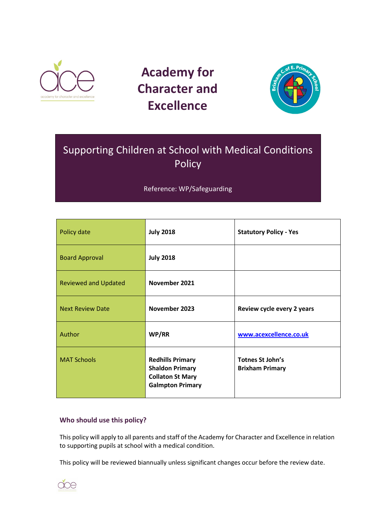

# **Academy for Character and Excellence**



# Supporting Children at School with Medical Conditions Policy

Reference: WP/Safeguarding

| Policy date                 | <b>July 2018</b>                                                                                        | <b>Statutory Policy - Yes</b>                     |
|-----------------------------|---------------------------------------------------------------------------------------------------------|---------------------------------------------------|
| <b>Board Approval</b>       | <b>July 2018</b>                                                                                        |                                                   |
| <b>Reviewed and Updated</b> | November 2021                                                                                           |                                                   |
| <b>Next Review Date</b>     | November 2023                                                                                           | Review cycle every 2 years                        |
| Author                      | WP/RR                                                                                                   | www.acexcellence.co.uk                            |
| <b>MAT Schools</b>          | <b>Redhills Primary</b><br><b>Shaldon Primary</b><br><b>Collaton St Mary</b><br><b>Galmpton Primary</b> | <b>Totnes St John's</b><br><b>Brixham Primary</b> |

# **Who should use this policy?**

This policy will apply to all parents and staff of the Academy for Character and Excellence in relation to supporting pupils at school with a medical condition.

This policy will be reviewed biannually unless significant changes occur before the review date.

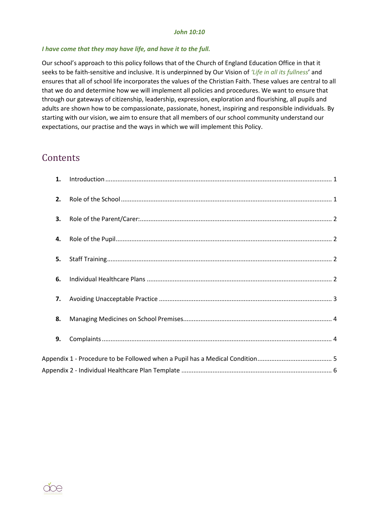#### *John 10:10*

#### *I have come that they may have life, and have it to the full.*

Our school's approach to this policy follows that of the Church of England Education Office in that it seeks to be faith-sensitive and inclusive. It is underpinned by Our Vision of *'Life in all its fullness*' and ensures that all of school life incorporates the values of the Christian Faith. These values are central to all that we do and determine how we will implement all policies and procedures. We want to ensure that through our gateways of citizenship, leadership, expression, exploration and flourishing, all pupils and adults are shown how to be compassionate, passionate, honest, inspiring and responsible individuals. By starting with our vision, we aim to ensure that all members of our school community understand our expectations, our practise and the ways in which we will implement this Policy.

# **Contents**

| 1. |  |
|----|--|
| 2. |  |
| 3. |  |
| 4. |  |
| 5. |  |
| 6. |  |
| 7. |  |
| 8. |  |
| 9. |  |
|    |  |
|    |  |

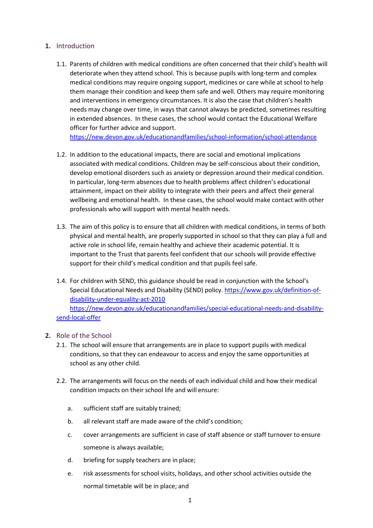# <span id="page-2-0"></span>**1.** Introduction

1.1. Parents of children with medical conditions are often concerned that their child's health will deteriorate when they attend school. This is because pupils with long-term and complex medical conditions may require ongoing support, medicines or care while at school to help them manage their condition and keep them safe and well. Others may require monitoring and interventions in emergency circumstances. It is also the case that children's health needs may change over time, in ways that cannot always be predicted, sometimes resulting in extended absences. In these cases, the school would contact the Educational Welfare officer for further advice and support.

<https://new.devon.gov.uk/educationandfamilies/school-information/school-attendance>

- 1.2. In addition to the educational impacts, there are social and emotional implications associated with medical conditions. Children may be self-conscious about their condition, develop emotional disorders such as anxiety or depression around their medical condition. In particular, long-term absences due to health problems affect children's educational attainment, impact on their ability to integrate with their peers and affect their general wellbeing and emotional health. In these cases, the school would make contact with other professionals who will support with mental health needs.
- 1.3. The aim of this policy is to ensure that all children with medical conditions, in terms of both physical and mental health, are properly supported in school so that they can play a full and active role in school life, remain healthy and achieve their academic potential. It is important to the Trust that parents feel confident that our schools will provide effective support for their child's medical condition and that pupils feel safe.
- 1.4. For children with SEND, this guidance should be read in conjunction with the School's Special Educational Needs and Disability (SEND) policy. [https://www.gov.uk/definition-of](https://www.gov.uk/definition-of-disability-under-equality-act-2010)[disability-under-equality-act-2010](https://www.gov.uk/definition-of-disability-under-equality-act-2010) [https://new.devon.gov.uk/educationandfamilies/special-educational-needs-and-disability](https://new.devon.gov.uk/educationandfamilies/special-educational-needs-and-disability-send-local-offer)[send-local-offer](https://new.devon.gov.uk/educationandfamilies/special-educational-needs-and-disability-send-local-offer)

#### <span id="page-2-1"></span>**2.** Role of the School

- 2.1. The school will ensure that arrangements are in place to support pupils with medical conditions, so that they can endeavour to access and enjoy the same opportunities at school as any other child.
- 2.2. The arrangements will focus on the needs of each individual child and how their medical condition impacts on their school life and will ensure:
	- a. sufficient staff are suitably trained;
	- b. all relevant staff are made aware of the child's condition;
	- c. cover arrangements are sufficient in case of staff absence or staff turnover to ensure someone is always available;
	- d. briefing for supply teachers are in place;
	- e. risk assessments for school visits, holidays, and other school activities outside the normal timetable will be in place; and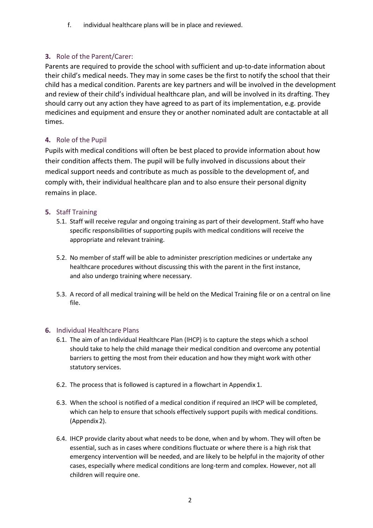f. individual healthcare plans will be in place and reviewed.

# <span id="page-3-0"></span>**3.** Role of the Parent/Carer:

Parents are required to provide the school with sufficient and up-to-date information about their child's medical needs. They may in some cases be the first to notify the school that their child has a medical condition. Parents are key partners and will be involved in the development and review of their child's individual healthcare plan, and will be involved in its drafting. They should carry out any action they have agreed to as part of its implementation, e.g. provide medicines and equipment and ensure they or another nominated adult are contactable at all times.

# <span id="page-3-1"></span>**4.** Role of the Pupil

Pupils with medical conditions will often be best placed to provide information about how their condition affects them. The pupil will be fully involved in discussions about their medical support needs and contribute as much as possible to the development of, and comply with, their individual healthcare plan and to also ensure their personal dignity remains in place.

# <span id="page-3-2"></span>**5.** Staff Training

- 5.1. Staff will receive regular and ongoing training as part of their development. Staff who have specific responsibilities of supporting pupils with medical conditions will receive the appropriate and relevant training.
- 5.2. No member of staff will be able to administer prescription medicines or undertake any healthcare procedures without discussing this with the parent in the first instance, and also undergo training where necessary.
- 5.3. A record of all medical training will be held on the Medical Training file or on a central on line file.

# <span id="page-3-3"></span>**6.** Individual Healthcare Plans

- 6.1. The aim of an Individual Healthcare Plan (IHCP) is to capture the steps which a school should take to help the child manage their medical condition and overcome any potential barriers to getting the most from their education and how they might work with other statutory services.
- 6.2. The process that is followed is captured in a flowchart in Appendix 1.
- 6.3. When the school is notified of a medical condition if required an IHCP will be completed, which can help to ensure that schools effectively support pupils with medical conditions. (Appendix2).
- 6.4. IHCP provide clarity about what needs to be done, when and by whom. They will often be essential, such as in cases where conditions fluctuate or where there is a high risk that emergency intervention will be needed, and are likely to be helpful in the majority of other cases, especially where medical conditions are long-term and complex. However, not all children will require one.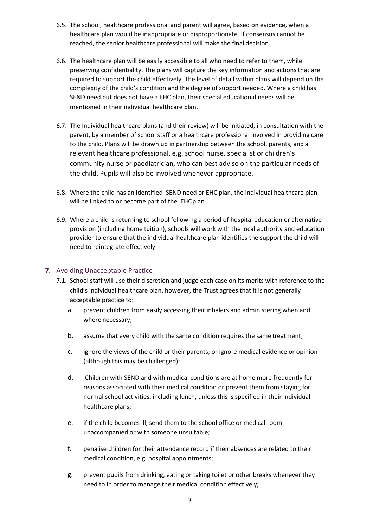- 6.5. The school, healthcare professional and parent will agree, based on evidence, when a healthcare plan would be inappropriate or disproportionate. If consensus cannot be reached, the senior healthcare professional will make the final decision.
- 6.6. The healthcare plan will be easily accessible to all who need to refer to them, while preserving confidentiality. The plans will capture the key information and actions that are required to support the child effectively. The level of detail within plans will depend on the complexity of the child's condition and the degree of support needed. Where a child has SEND need but does not have a EHC plan, their special educational needs will be mentioned in their individual healthcare plan.
- 6.7. The Individual healthcare plans (and their review) will be initiated, in consultation with the parent, by a member of school staff or a healthcare professional involved in providing care to the child. Plans will be drawn up in partnership between the school, parents, and a relevant healthcare professional, e.g. school nurse, specialist or children's community nurse or paediatrician, who can best advise on the particular needs of the child. Pupils will also be involved whenever appropriate.
- 6.8. Where the child has an identified SEND need or EHC plan, the individual healthcare plan will be linked to or become part of the EHCplan.
- 6.9. Where a child is returning to school following a period of hospital education or alternative provision (including home tuition), schools will work with the local authority and education provider to ensure that the individual healthcare plan identifies the support the child will need to reintegrate effectively.

#### <span id="page-4-0"></span>**7.** Avoiding Unacceptable Practice

- 7.1. School staff will use their discretion and judge each case on its merits with reference to the child's individual healthcare plan, however, the Trust agrees that it is not generally acceptable practice to:
	- a. prevent children from easily accessing their inhalers and administering when and where necessary;
	- b. assume that every child with the same condition requires the same treatment;
	- c. ignore the views of the child or their parents; or ignore medical evidence or opinion (although this may be challenged);
	- d. Children with SEND and with medical conditions are at home more frequently for reasons associated with their medical condition or prevent them from staying for normal school activities, including lunch, unless this is specified in their individual healthcare plans;
	- e. if the child becomes ill, send them to the school office or medical room unaccompanied or with someone unsuitable;
	- f. penalise children for their attendance record if their absences are related to their medical condition, e.g. hospital appointments;
	- g. prevent pupils from drinking, eating or taking toilet or other breaks whenever they need to in order to manage their medical condition effectively;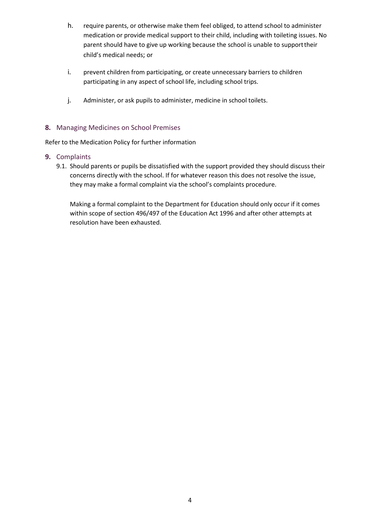- h. require parents, or otherwise make them feel obliged, to attend school to administer medication or provide medical support to their child, including with toileting issues. No parent should have to give up working because the school is unable to supporttheir child's medical needs; or
- i. prevent children from participating, or create unnecessary barriers to children participating in any aspect of school life, including school trips.
- j. Administer, or ask pupils to administer, medicine in school toilets.

#### <span id="page-5-0"></span>**8.** Managing Medicines on School Premises

Refer to the Medication Policy for further information

#### <span id="page-5-1"></span>**9.** Complaints

9.1. Should parents or pupils be dissatisfied with the support provided they should discuss their concerns directly with the school. If for whatever reason this does not resolve the issue, they may make a formal complaint via the school's complaints procedure.

Making a formal complaint to the Department for Education should only occur if it comes within scope of section 496/497 of the Education Act 1996 and after other attempts at resolution have been exhausted.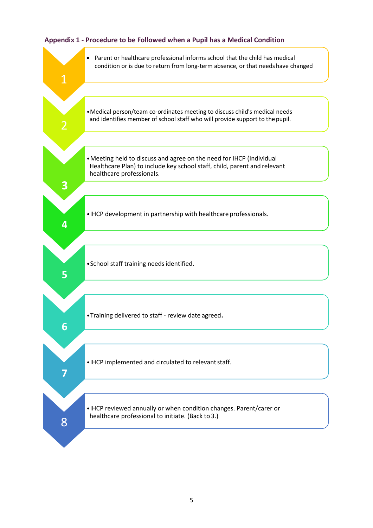<span id="page-6-0"></span>

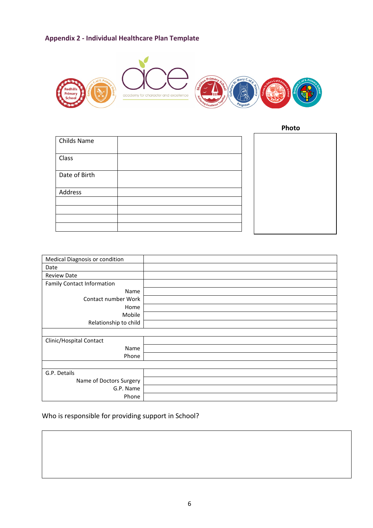# <span id="page-7-0"></span>**Appendix 2 - Individual Healthcare Plan Template**



 **Photo**

| Childs Name   |  |
|---------------|--|
| Class         |  |
| Date of Birth |  |
| Address       |  |
|               |  |
|               |  |
|               |  |
|               |  |

| Medical Diagnosis or condition    |  |
|-----------------------------------|--|
| Date                              |  |
| <b>Review Date</b>                |  |
| <b>Family Contact Information</b> |  |
| Name                              |  |
| Contact number Work               |  |
| Home                              |  |
| Mobile                            |  |
| Relationship to child             |  |
|                                   |  |
| Clinic/Hospital Contact           |  |
| Name                              |  |
| Phone                             |  |
|                                   |  |
| G.P. Details                      |  |
| Name of Doctors Surgery           |  |
| G.P. Name                         |  |
| Phone                             |  |

# Who is responsible for providing support in School?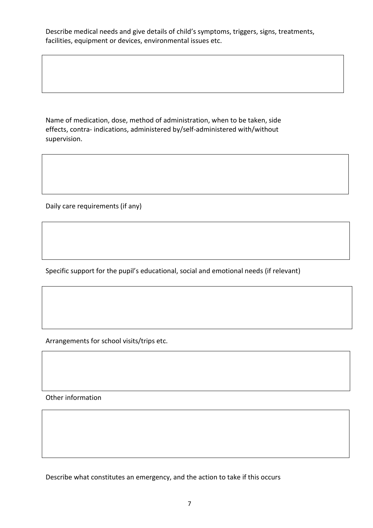Describe medical needs and give details of child's symptoms, triggers, signs, treatments, facilities, equipment or devices, environmental issues etc.

Name of medication, dose, method of administration, when to be taken, side effects, contra- indications, administered by/self-administered with/without supervision.

Daily care requirements (if any)

Specific support for the pupil's educational, social and emotional needs (if relevant)

Arrangements for school visits/trips etc.

Other information

Describe what constitutes an emergency, and the action to take if this occurs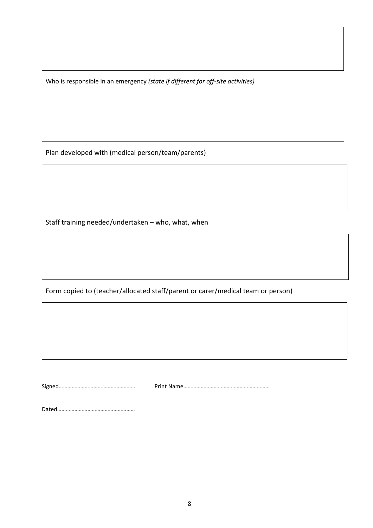Who is responsible in an emergency *(state if different for off-site activities)*

Plan developed with (medical person/team/parents)

Staff training needed/undertaken – who, what, when

Form copied to (teacher/allocated staff/parent or carer/medical team or person)

Signed…………………………………………….. Print Name……………………………………………………

Dated………………………………………………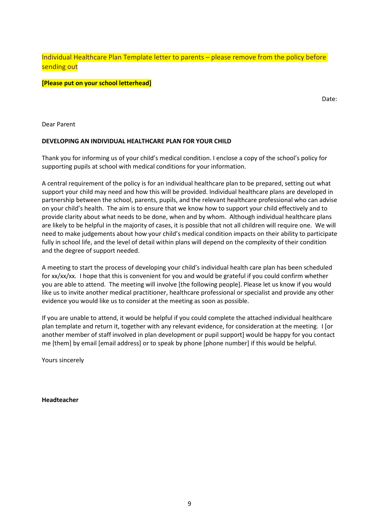Individual Healthcare Plan Template letter to parents – please remove from the policy before sending out

#### **[Please put on your school letterhead]**

Date:

Dear Parent

#### **DEVELOPING AN INDIVIDUAL HEALTHCARE PLAN FOR YOUR CHILD**

Thank you for informing us of your child's medical condition. I enclose a copy of the school's policy for supporting pupils at school with medical conditions for your information.

A central requirement of the policy is for an individual healthcare plan to be prepared, setting out what support your child may need and how this will be provided. Individual healthcare plans are developed in partnership between the school, parents, pupils, and the relevant healthcare professional who can advise on your child's health. The aim is to ensure that we know how to support your child effectively and to provide clarity about what needs to be done, when and by whom. Although individual healthcare plans are likely to be helpful in the majority of cases, it is possible that not all children will require one. We will need to make judgements about how your child's medical condition impacts on their ability to participate fully in school life, and the level of detail within plans will depend on the complexity of their condition and the degree of support needed.

A meeting to start the process of developing your child's individual health care plan has been scheduled for xx/xx/xx. I hope that this is convenient for you and would be grateful if you could confirm whether you are able to attend. The meeting will involve [the following people]. Please let us know if you would like us to invite another medical practitioner, healthcare professional or specialist and provide any other evidence you would like us to consider at the meeting as soon as possible.

If you are unable to attend, it would be helpful if you could complete the attached individual healthcare plan template and return it, together with any relevant evidence, for consideration at the meeting. I [or another member of staff involved in plan development or pupil support] would be happy for you contact me [them] by email [email address] or to speak by phone [phone number] if this would be helpful.

Yours sincerely

**Headteacher**